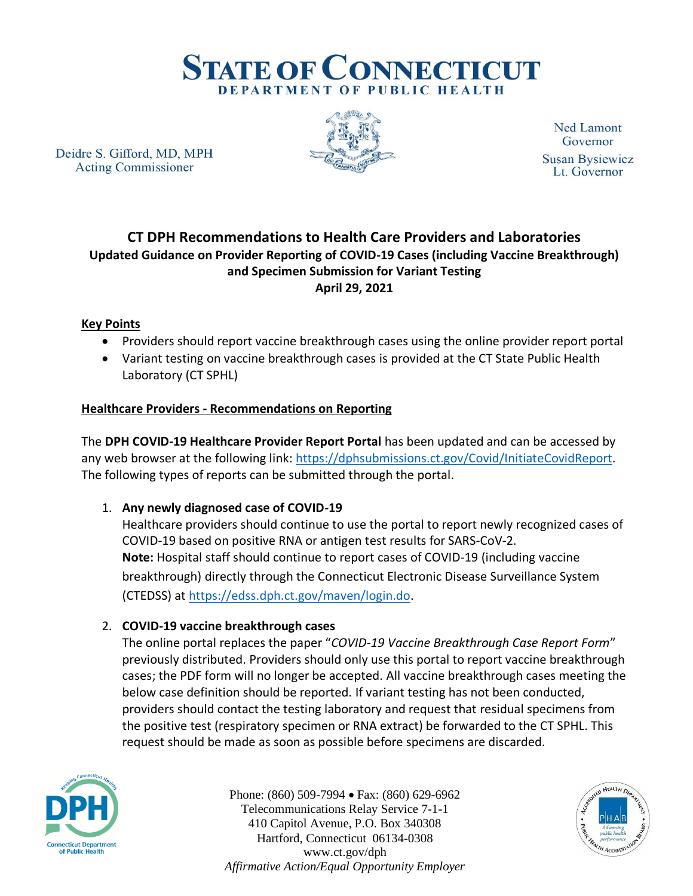

Deidre S. Gifford, MD, MPH **Acting Commissioner** 



**Ned Lamont** Governor **Susan Bysiewicz** Lt. Governor

# **CT DPH Recommendations to Health Care Providers and Laboratories Updated Guidance on Provider Reporting of COVID-19 Cases (including Vaccine Breakthrough) and Specimen Submission for Variant Testing April 29, 2021**

# **Key Points**

- Providers should report vaccine breakthrough cases using the online provider report portal
- Variant testing on vaccine breakthrough cases is provided at the CT State Public Health Laboratory (CT SPHL)

# **Healthcare Providers - Recommendations on Reporting**

The **DPH COVID-19 Healthcare Provider Report Portal** has been updated and can be accessed by any web browser at the following link: [https://dphsubmissions.ct.gov/Covid/InitiateCovidReport.](https://dphsubmissions.ct.gov/Covid/InitiateCovidReport) The following types of reports can be submitted through the portal.

### 1. **Any newly diagnosed case of COVID-19**

Healthcare providers should continue to use the portal to report newly recognized cases of COVID-19 based on positive RNA or antigen test results for SARS-CoV-2. **Note:** Hospital staff should continue to report cases of COVID-19 (including vaccine breakthrough) directly through the Connecticut Electronic Disease Surveillance System (CTEDSS) at [https://edss.dph.ct.gov/maven/login.do.](https://edss.dph.ct.gov/maven/login.do)

### 2. **COVID-19 vaccine breakthrough cases**

The online portal replaces the paper "*COVID-19 Vaccine Breakthrough Case Report Form*" previously distributed. Providers should only use this portal to report vaccine breakthrough cases; the PDF form will no longer be accepted. All vaccine breakthrough cases meeting the below case definition should be reported. If variant testing has not been conducted, providers should contact the testing laboratory and request that residual specimens from the positive test (respiratory specimen or RNA extract) be forwarded to the CT SPHL. This request should be made as soon as possible before specimens are discarded.



Phone: (860) 509-7994 • Fax: (860) 629-6962 Telecommunications Relay Service 7-1-1 410 Capitol Avenue, P.O. Box 340308 Hartford, Connecticut 06134-0308 www.ct.gov/dph *Affirmative Action/Equal Opportunity Employer*